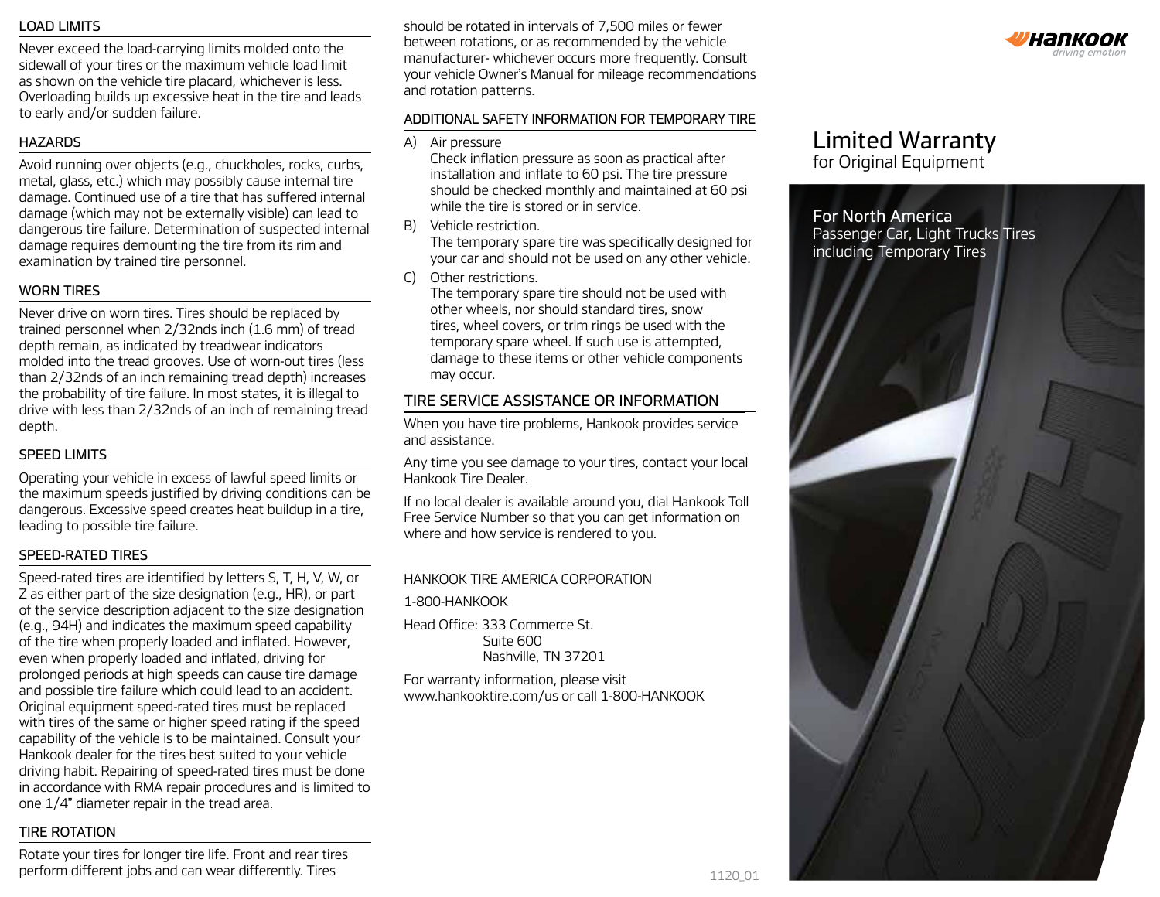#### LOAD LIMITS

Never exceed the load-carrying limits molded onto the sidewall of your tires or the maximum vehicle load limit as shown on the vehicle tire placard, whichever is less. Overloading builds up excessive heat in the tire and leads to early and/or sudden failure.

#### HAZARDS

Avoid running over objects (e.g., chuckholes, rocks, curbs, metal, glass, etc.) which may possibly cause internal tire damage. Continued use of a tire that has suffered internal damage (which may not be externally visible) can lead to dangerous tire failure. Determination of suspected internal damage requires demounting the tire from its rim and examination by trained tire personnel.

#### WORN TIRES

Never drive on worn tires. Tires should be replaced by trained personnel when 2/32nds inch (1.6 mm) of tread depth remain, as indicated by treadwear indicators molded into the tread grooves. Use of worn-out tires (less than 2/32nds of an inch remaining tread depth) increases the probability of tire failure. In most states, it is illegal to drive with less than 2/32nds of an inch of remaining tread depth.

#### SPEED LIMITS

Operating your vehicle in excess of lawful speed limits or the maximum speeds justified by driving conditions can be dangerous. Excessive speed creates heat buildup in a tire, leading to possible tire failure.

#### SPEED-RATED TIRES

Speed-rated tires are identified by letters S, T, H, V, W, or Z as either part of the size designation (e.g., HR), or part of the service description adjacent to the size designation (e.g., 94H) and indicates the maximum speed capability of the tire when properly loaded and inflated. However, even when properly loaded and inflated, driving for prolonged periods at high speeds can cause tire damage and possible tire failure which could lead to an accident. Original equipment speed-rated tires must be replaced with tires of the same or higher speed rating if the speed capability of the vehicle is to be maintained. Consult your Hankook dealer for the tires best suited to your vehicle driving habit. Repairing of speed-rated tires must be done in accordance with RMA repair procedures and is limited to one 1/4" diameter repair in the tread area.

#### TIRE ROTATION

Rotate your tires for longer tire life. Front and rear tires perform different jobs and can wear differently. Tires 1120 01 1120 01 1120 01

should be rotated in intervals of 7,500 miles or fewer between rotations, or as recommended by the vehicle manufacturer- whichever occurs more frequently. Consult your vehicle Owner's Manual for mileage recommendations and rotation patterns.

#### ADDITIONAL SAFETY INFORMATION FOR TEMPORARY TIRE

A) Air pressure

Check inflation pressure as soon as practical after installation and inflate to 60 psi. The tire pressure should be checked monthly and maintained at 60 psi while the tire is stored or in service.

- B) Vehicle restriction. The temporary spare tire was specifically designed for your car and should not be used on any other vehicle.
- C) Other restrictions.

The temporary spare tire should not be used with other wheels, nor should standard tires, snow tires, wheel covers, or trim rings be used with the temporary spare wheel. If such use is attempted, damage to these items or other vehicle components may occur.

## TIRE SERVICE ASSISTANCE OR INFORMATION

When you have tire problems, Hankook provides service and assistance.

Any time you see damage to your tires, contact your local Hankook Tire Dealer.

If no local dealer is available around you, dial Hankook Toll Free Service Number so that you can get information on where and how service is rendered to you.

#### HANKOOK TIRE AMERICA CORPORATION

#### 1-800-HANKOOK

Head Office: 333 Commerce St. Suite 600 Nashville, TN 37201

For warranty information, please visit www.hankooktire.com/us or call 1-800-HANKOOK

# Limited Warranty

for Original Equipment